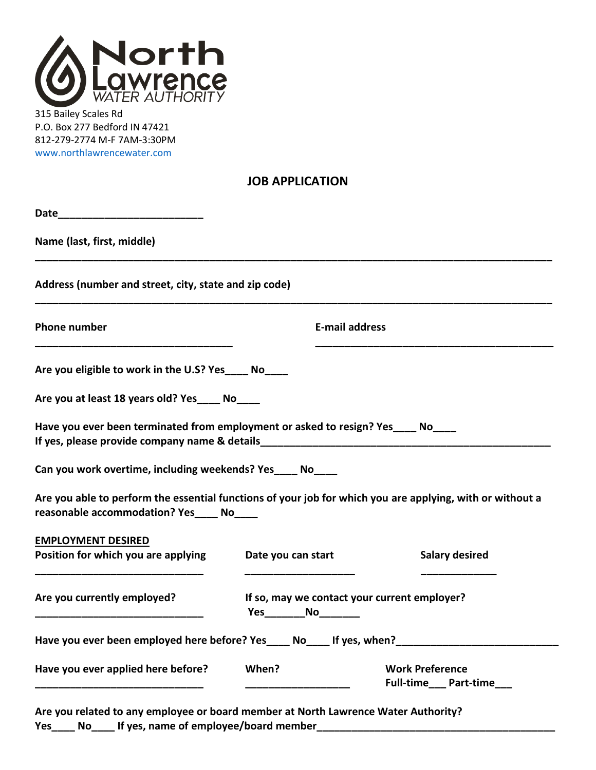

315 Bailey Scales Rd P.O. Box 277 Bedford IN 47421 812-279-2774 M-F 7AM-3:30PM [www.northlawrencewater.com](http://www.northlawrencewater.com/)

| <b>JOB APPLICATION</b> |  |
|------------------------|--|
|------------------------|--|

| Name (last, first, middle)                                                                                                                            |                                                                            |                       |
|-------------------------------------------------------------------------------------------------------------------------------------------------------|----------------------------------------------------------------------------|-----------------------|
| Address (number and street, city, state and zip code)                                                                                                 |                                                                            |                       |
| <b>Phone number</b>                                                                                                                                   | <b>E-mail address</b>                                                      |                       |
| Are you eligible to work in the U.S? Yes_____ No____                                                                                                  |                                                                            |                       |
| Are you at least 18 years old? Yes_____ No____                                                                                                        |                                                                            |                       |
| Have you ever been terminated from employment or asked to resign? Yes____ No____                                                                      |                                                                            |                       |
| Can you work overtime, including weekends? Yes____ No____                                                                                             |                                                                            |                       |
| Are you able to perform the essential functions of your job for which you are applying, with or without a<br>reasonable accommodation? Yes____ No____ |                                                                            |                       |
| <b>EMPLOYMENT DESIRED</b>                                                                                                                             |                                                                            |                       |
| Position for which you are applying                                                                                                                   | Date you can start                                                         | <b>Salary desired</b> |
| Are you currently employed?                                                                                                                           | If so, may we contact your current employer?<br>Yes___________No__________ |                       |
|                                                                                                                                                       |                                                                            |                       |
| Have you ever been employed here before? Yes____ No____ If yes, when?___________                                                                      |                                                                            |                       |

**Are you related to any employee or board member at North Lawrence Water Authority?** Yes\_\_\_\_\_ No\_\_\_\_\_ If yes, name of employee/board member\_\_\_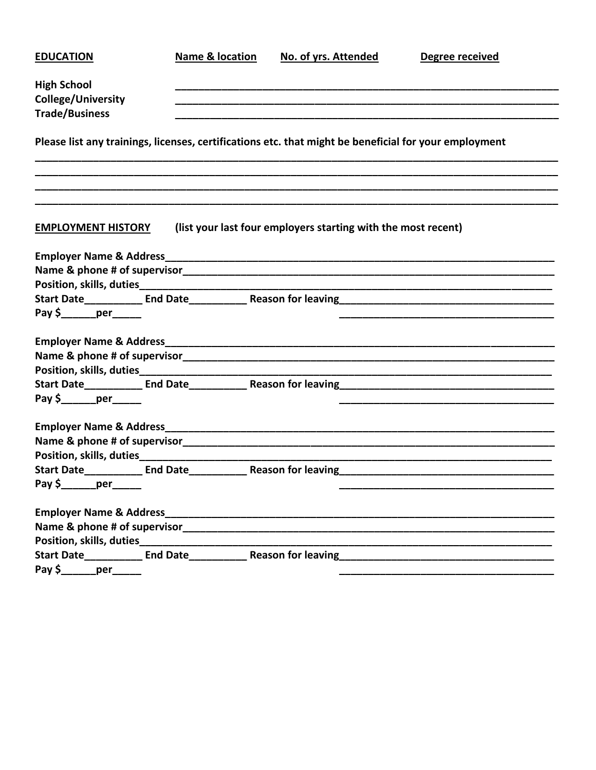| <b>EDUCATION</b>                       | <b>Name &amp; location</b> | No. of yrs. Attended                                                                                  | Degree received                                                                   |
|----------------------------------------|----------------------------|-------------------------------------------------------------------------------------------------------|-----------------------------------------------------------------------------------|
| <b>High School</b>                     |                            |                                                                                                       |                                                                                   |
| <b>College/University</b>              |                            |                                                                                                       |                                                                                   |
| <b>Trade/Business</b>                  |                            |                                                                                                       |                                                                                   |
|                                        |                            |                                                                                                       |                                                                                   |
|                                        |                            | Please list any trainings, licenses, certifications etc. that might be beneficial for your employment |                                                                                   |
| <b>EMPLOYMENT HISTORY</b>              |                            | (list your last four employers starting with the most recent)                                         |                                                                                   |
|                                        |                            |                                                                                                       |                                                                                   |
|                                        |                            |                                                                                                       |                                                                                   |
|                                        |                            |                                                                                                       |                                                                                   |
|                                        |                            |                                                                                                       |                                                                                   |
|                                        |                            |                                                                                                       |                                                                                   |
|                                        |                            |                                                                                                       |                                                                                   |
|                                        |                            |                                                                                                       |                                                                                   |
|                                        |                            |                                                                                                       |                                                                                   |
|                                        |                            |                                                                                                       |                                                                                   |
|                                        |                            |                                                                                                       |                                                                                   |
|                                        |                            |                                                                                                       |                                                                                   |
|                                        |                            |                                                                                                       |                                                                                   |
|                                        |                            |                                                                                                       |                                                                                   |
|                                        |                            |                                                                                                       |                                                                                   |
|                                        |                            | Start Date_____________ End Date______________ Reason for leaving___________________________________  |                                                                                   |
| Pay \$________per_______               |                            |                                                                                                       |                                                                                   |
|                                        |                            |                                                                                                       |                                                                                   |
|                                        |                            |                                                                                                       |                                                                                   |
|                                        |                            |                                                                                                       |                                                                                   |
|                                        |                            |                                                                                                       | Start Date___________ End Date____________ Reason for leaving____________________ |
| Pay $\frac{\zeta}{\zeta}$ per ________ |                            |                                                                                                       |                                                                                   |